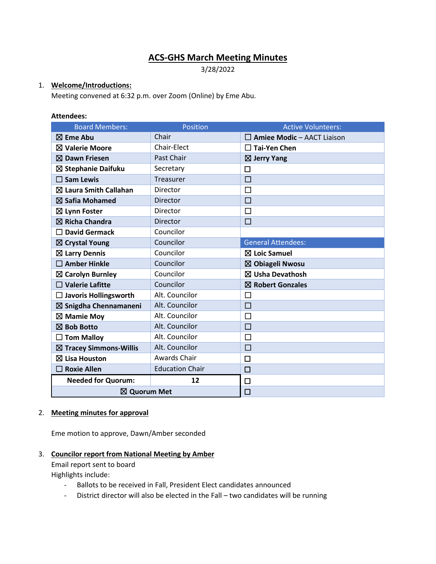# **ACS-GHS March Meeting Minutes**

3/28/2022

# 1. **Welcome/Introductions:**

Meeting convened at 6:32 p.m. over Zoom (Online) by Eme Abu.

#### **Attendees:**

| <b>Board Members:</b>             | Position               | <b>Active Volunteers:</b>         |
|-----------------------------------|------------------------|-----------------------------------|
| $\boxtimes$ Eme Abu               | Chair                  | $\Box$ Amiee Modic - AACT Liaison |
| $\boxtimes$ Valerie Moore         | Chair-Elect            | $\Box$ Tai-Yen Chen               |
| $\boxtimes$ Dawn Friesen          | Past Chair             | $\boxtimes$ Jerry Yang            |
| $\boxtimes$ Stephanie Daifuku     | Secretary              | П                                 |
| $\square$ Sam Lewis               | Treasurer              | $\Box$                            |
| $\boxtimes$ Laura Smith Callahan  | Director               | $\Box$                            |
| $\boxtimes$ Safia Mohamed         | Director               | П                                 |
| $\boxtimes$ Lynn Foster           | Director               | □                                 |
| $\boxtimes$ Richa Chandra         | Director               | $\Box$                            |
| <b>David Germack</b><br>П         | Councilor              |                                   |
| $\boxtimes$ Crystal Young         | Councilor              | <b>General Attendees:</b>         |
| $\boxtimes$ Larry Dennis          | Councilor              | $\boxtimes$ Loic Samuel           |
| $\square$ Amber Hinkle            | Councilor              | $\boxtimes$ Obiageli Nwosu        |
| $\boxtimes$ Carolyn Burnley       | Councilor              | $\boxtimes$ Usha Devathosh        |
| $\Box$ Valerie Lafitte            | Councilor              | $\boxtimes$ Robert Gonzales       |
| $\Box$ Javoris Hollingsworth      | Alt. Councilor         | $\Box$                            |
| $\boxtimes$ Snigdha Chennamaneni  | Alt. Councilor         | $\Box$                            |
| $\boxtimes$ Mamie Moy             | Alt. Councilor         | □                                 |
| ⊠ Bob Botto                       | Alt. Councilor         | □                                 |
| $\Box$ Tom Malloy                 | Alt. Councilor         | $\Box$                            |
| $\boxtimes$ Tracey Simmons-Willis | Alt. Councilor         | $\Box$                            |
| $\boxtimes$ Lisa Houston          | Awards Chair           | □                                 |
| <b>Roxie Allen</b>                | <b>Education Chair</b> | $\Box$                            |
| <b>Needed for Quorum:</b>         | 12                     | 口                                 |
| ⊠ Quorum Met                      |                        | $\Box$                            |

#### 2. **Meeting minutes for approval**

Eme motion to approve, Dawn/Amber seconded

#### 3. **Councilor report from National Meeting by Amber**

Email report sent to board

Highlights include:

- Ballots to be received in Fall, President Elect candidates announced
- District director will also be elected in the Fall two candidates will be running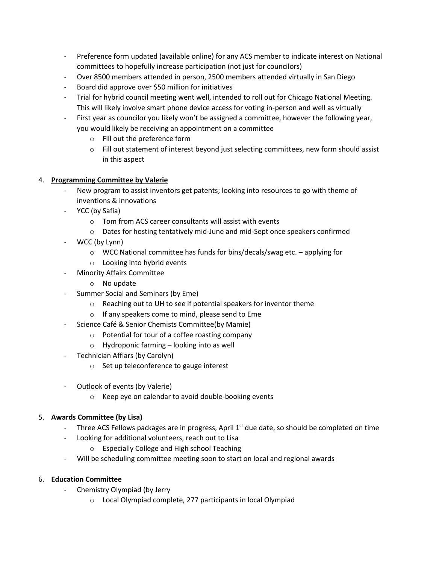- Preference form updated (available online) for any ACS member to indicate interest on National committees to hopefully increase participation (not just for councilors)
- Over 8500 members attended in person, 2500 members attended virtually in San Diego
- Board did approve over \$50 million for initiatives
- Trial for hybrid council meeting went well, intended to roll out for Chicago National Meeting. This will likely involve smart phone device access for voting in-person and well as virtually
- First year as councilor you likely won't be assigned a committee, however the following year, you would likely be receiving an appointment on a committee
	- o Fill out the preference form
	- o Fill out statement of interest beyond just selecting committees, new form should assist in this aspect

# 4. **Programming Committee by Valerie**

- New program to assist inventors get patents; looking into resources to go with theme of inventions & innovations
- YCC (by Safia)
	- o Tom from ACS career consultants will assist with events
	- o Dates for hosting tentatively mid-June and mid-Sept once speakers confirmed
- WCC (by Lynn)
	- $\circ$  WCC National committee has funds for bins/decals/swag etc. applying for
	- o Looking into hybrid events
- Minority Affairs Committee
	- o No update
- Summer Social and Seminars (by Eme)
	- o Reaching out to UH to see if potential speakers for inventor theme
	- o If any speakers come to mind, please send to Eme
- Science Café & Senior Chemists Committee(by Mamie)
	- o Potential for tour of a coffee roasting company
	- o Hydroponic farming looking into as well
- Technician Affiars (by Carolyn)
	- o Set up teleconference to gauge interest
- Outlook of events (by Valerie)
	- o Keep eye on calendar to avoid double-booking events

#### 5. **Awards Committee (by Lisa)**

- Three ACS Fellows packages are in progress, April 1<sup>st</sup> due date, so should be completed on time
- Looking for additional volunteers, reach out to Lisa
	- o Especially College and High school Teaching
- Will be scheduling committee meeting soon to start on local and regional awards

#### 6. **Education Committee**

- Chemistry Olympiad (by Jerry
	- o Local Olympiad complete, 277 participants in local Olympiad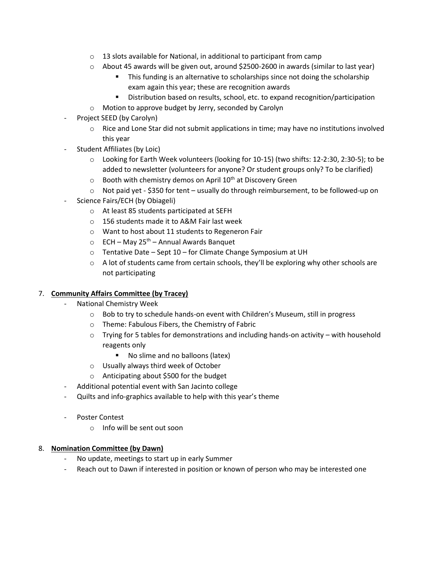- $\circ$  13 slots available for National, in additional to participant from camp
- $\circ$  About 45 awards will be given out, around \$2500-2600 in awards (similar to last year)
	- **•** This funding is an alternative to scholarships since not doing the scholarship exam again this year; these are recognition awards
	- Distribution based on results, school, etc. to expand recognition/participation
- o Motion to approve budget by Jerry, seconded by Carolyn
- Project SEED (by Carolyn)
	- $\circ$  Rice and Lone Star did not submit applications in time; may have no institutions involved this year
- Student Affiliates (by Loic)
	- $\circ$  Looking for Earth Week volunteers (looking for 10-15) (two shifts: 12-2:30, 2:30-5); to be added to newsletter (volunteers for anyone? Or student groups only? To be clarified)
	- $\circ$  Booth with chemistry demos on April 10<sup>th</sup> at Discovery Green
	- $\circ$  Not paid yet \$350 for tent usually do through reimbursement, to be followed-up on
- Science Fairs/ECH (by Obiageli)
	- o At least 85 students participated at SEFH
	- o 156 students made it to A&M Fair last week
	- o Want to host about 11 students to Regeneron Fair
	- $\circ$  ECH May 25<sup>th</sup> Annual Awards Banquet
	- o Tentative Date Sept 10 for Climate Change Symposium at UH
	- $\circ$  A lot of students came from certain schools, they'll be exploring why other schools are not participating

#### 7. **Community Affairs Committee (by Tracey)**

- National Chemistry Week
	- o Bob to try to schedule hands-on event with Children's Museum, still in progress
	- o Theme: Fabulous Fibers, the Chemistry of Fabric
	- $\circ$  Trying for 5 tables for demonstrations and including hands-on activity with household reagents only
		- No slime and no balloons (latex)
	- o Usually always third week of October
	- o Anticipating about \$500 for the budget
- Additional potential event with San Jacinto college
- Quilts and info-graphics available to help with this year's theme
- Poster Contest
	- o Info will be sent out soon

#### 8. **Nomination Committee (by Dawn)**

- No update, meetings to start up in early Summer
- Reach out to Dawn if interested in position or known of person who may be interested one